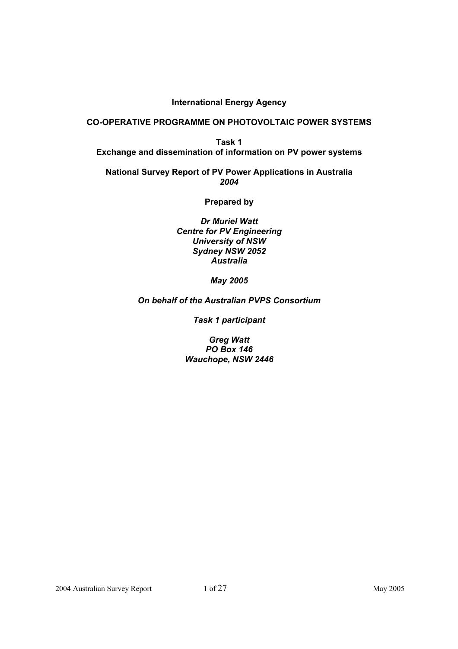## **International Energy Agency**

#### **CO-OPERATIVE PROGRAMME ON PHOTOVOLTAIC POWER SYSTEMS**

**Task 1 Exchange and dissemination of information on PV power systems** 

**National Survey Report of PV Power Applications in Australia** *2004*

**Prepared by** 

*Dr Muriel Watt Centre for PV Engineering University of NSW Sydney NSW 2052 Australia* 

*May 2005* 

*On behalf of the Australian PVPS Consortium* 

*Task 1 participant* 

*Greg Watt PO Box 146 Wauchope, NSW 2446*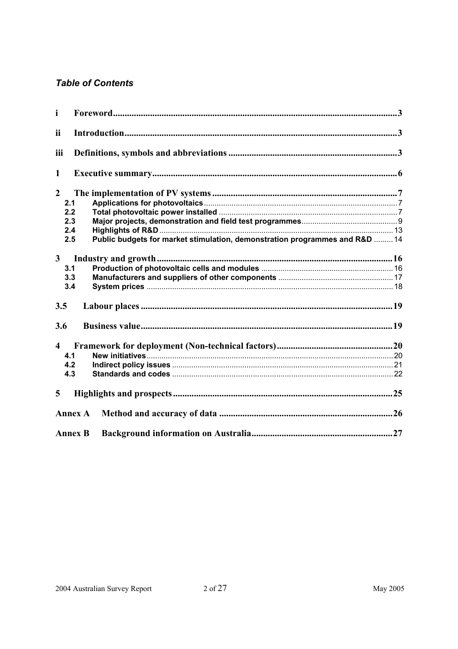# **Table of Contents**

| i                       |                                                                                    |  |
|-------------------------|------------------------------------------------------------------------------------|--|
| ii                      |                                                                                    |  |
| iii                     |                                                                                    |  |
| $\mathbf{1}$            |                                                                                    |  |
| $\overline{2}$          |                                                                                    |  |
|                         | 2.1                                                                                |  |
|                         | 2.2                                                                                |  |
|                         | 2.3                                                                                |  |
|                         | 2.4                                                                                |  |
|                         | Public budgets for market stimulation, demonstration programmes and R&D  14<br>2.5 |  |
| $\mathbf{3}$            |                                                                                    |  |
|                         | 3.1                                                                                |  |
|                         | 3.3                                                                                |  |
|                         | 3.4                                                                                |  |
| 3.5                     |                                                                                    |  |
| 3.6                     |                                                                                    |  |
| $\overline{\mathbf{4}}$ |                                                                                    |  |
|                         | 4.1                                                                                |  |
|                         | 4.2                                                                                |  |
|                         | 4.3                                                                                |  |
| 5                       |                                                                                    |  |
|                         | <b>Annex A</b>                                                                     |  |
|                         | <b>Annex B</b>                                                                     |  |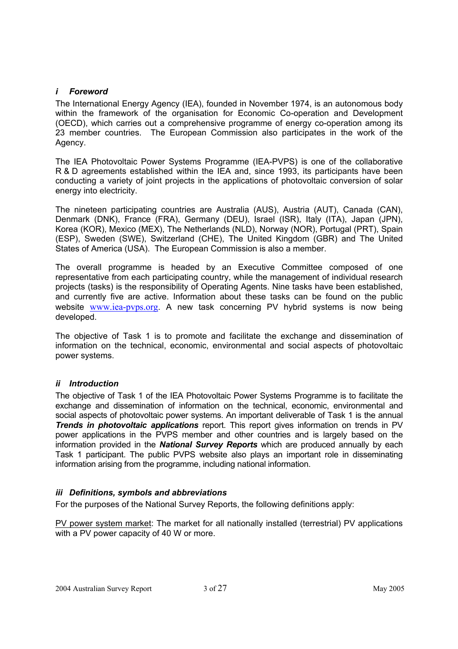#### *i Foreword*

The International Energy Agency (IEA), founded in November 1974, is an autonomous body within the framework of the organisation for Economic Co-operation and Development (OECD), which carries out a comprehensive programme of energy co-operation among its 23 member countries. The European Commission also participates in the work of the Agency.

The IEA Photovoltaic Power Systems Programme (IEA-PVPS) is one of the collaborative R & D agreements established within the IEA and, since 1993, its participants have been conducting a variety of joint projects in the applications of photovoltaic conversion of solar energy into electricity.

The nineteen participating countries are Australia (AUS), Austria (AUT), Canada (CAN), Denmark (DNK), France (FRA), Germany (DEU), Israel (ISR), Italy (ITA), Japan (JPN), Korea (KOR), Mexico (MEX), The Netherlands (NLD), Norway (NOR), Portugal (PRT), Spain (ESP), Sweden (SWE), Switzerland (CHE), The United Kingdom (GBR) and The United States of America (USA). The European Commission is also a member.

The overall programme is headed by an Executive Committee composed of one representative from each participating country, while the management of individual research projects (tasks) is the responsibility of Operating Agents. Nine tasks have been established, and currently five are active. Information about these tasks can be found on the public website www.iea-pvps.org. A new task concerning PV hybrid systems is now being developed.

The objective of Task 1 is to promote and facilitate the exchange and dissemination of information on the technical, economic, environmental and social aspects of photovoltaic power systems.

## *ii Introduction*

The objective of Task 1 of the IEA Photovoltaic Power Systems Programme is to facilitate the exchange and dissemination of information on the technical, economic, environmental and social aspects of photovoltaic power systems. An important deliverable of Task 1 is the annual *Trends in photovoltaic applications* report. This report gives information on trends in PV power applications in the PVPS member and other countries and is largely based on the information provided in the *National Survey Reports* which are produced annually by each Task 1 participant. The public PVPS website also plays an important role in disseminating information arising from the programme, including national information.

## *iii Definitions, symbols and abbreviations*

For the purposes of the National Survey Reports, the following definitions apply:

PV power system market: The market for all nationally installed (terrestrial) PV applications with a PV power capacity of 40 W or more.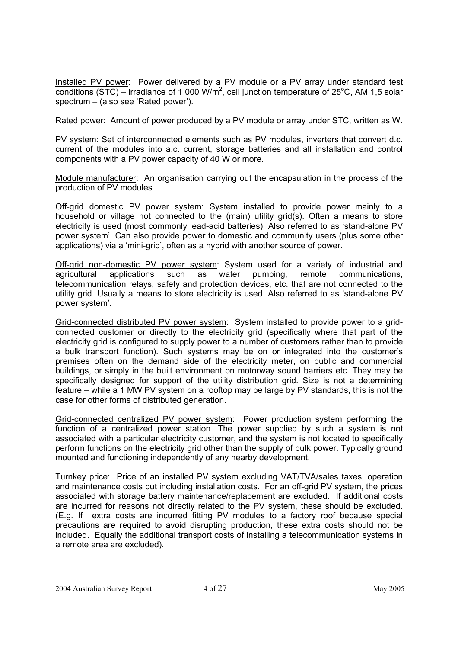Installed PV power: Power delivered by a PV module or a PV array under standard test conditions (STC) – irradiance of 1 000 W/m<sup>2</sup>, cell junction temperature of 25<sup>o</sup>C, AM 1,5 solar spectrum – (also see 'Rated power').

Rated power: Amount of power produced by a PV module or array under STC, written as W.

PV system: Set of interconnected elements such as PV modules, inverters that convert d.c. current of the modules into a.c. current, storage batteries and all installation and control components with a PV power capacity of 40 W or more.

Module manufacturer: An organisation carrying out the encapsulation in the process of the production of PV modules.

Off-grid domestic PV power system: System installed to provide power mainly to a household or village not connected to the (main) utility grid(s). Often a means to store electricity is used (most commonly lead-acid batteries). Also referred to as 'stand-alone PV power system'. Can also provide power to domestic and community users (plus some other applications) via a 'mini-grid', often as a hybrid with another source of power.

Off-grid non-domestic PV power system: System used for a variety of industrial and agricultural applications such as water pumping, remote communications, telecommunication relays, safety and protection devices, etc. that are not connected to the utility grid. Usually a means to store electricity is used. Also referred to as 'stand-alone PV power system'.

Grid-connected distributed PV power system: System installed to provide power to a gridconnected customer or directly to the electricity grid (specifically where that part of the electricity grid is configured to supply power to a number of customers rather than to provide a bulk transport function). Such systems may be on or integrated into the customer's premises often on the demand side of the electricity meter, on public and commercial buildings, or simply in the built environment on motorway sound barriers etc. They may be specifically designed for support of the utility distribution grid. Size is not a determining feature – while a 1 MW PV system on a rooftop may be large by PV standards, this is not the case for other forms of distributed generation.

Grid-connected centralized PV power system: Power production system performing the function of a centralized power station. The power supplied by such a system is not associated with a particular electricity customer, and the system is not located to specifically perform functions on the electricity grid other than the supply of bulk power. Typically ground mounted and functioning independently of any nearby development.

Turnkey price: Price of an installed PV system excluding VAT/TVA/sales taxes, operation and maintenance costs but including installation costs. For an off-grid PV system, the prices associated with storage battery maintenance/replacement are excluded. If additional costs are incurred for reasons not directly related to the PV system, these should be excluded. (E.g. If extra costs are incurred fitting PV modules to a factory roof because special precautions are required to avoid disrupting production, these extra costs should not be included. Equally the additional transport costs of installing a telecommunication systems in a remote area are excluded).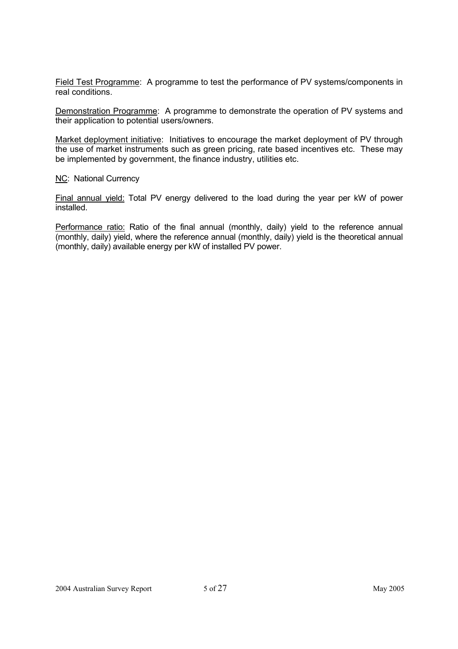Field Test Programme: A programme to test the performance of PV systems/components in real conditions.

Demonstration Programme: A programme to demonstrate the operation of PV systems and their application to potential users/owners.

Market deployment initiative: Initiatives to encourage the market deployment of PV through the use of market instruments such as green pricing, rate based incentives etc. These may be implemented by government, the finance industry, utilities etc.

**NC: National Currency** 

Final annual yield: Total PV energy delivered to the load during the year per kW of power installed.

Performance ratio: Ratio of the final annual (monthly, daily) yield to the reference annual (monthly, daily) yield, where the reference annual (monthly, daily) yield is the theoretical annual (monthly, daily) available energy per kW of installed PV power.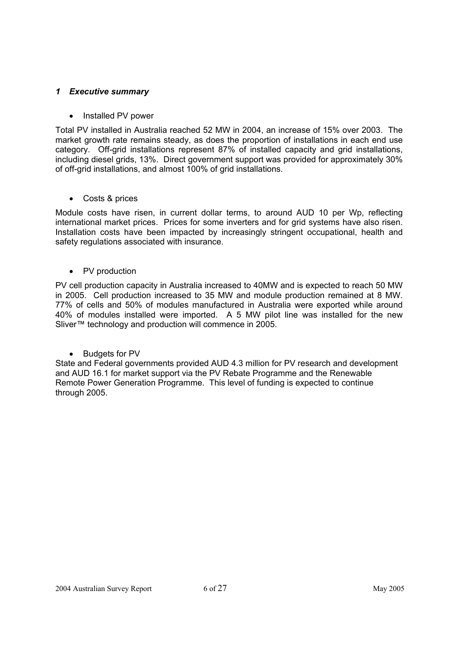## *1 Executive summary*

## • Installed PV power

Total PV installed in Australia reached 52 MW in 2004, an increase of 15% over 2003. The market growth rate remains steady, as does the proportion of installations in each end use category. Off-grid installations represent 87% of installed capacity and grid installations, including diesel grids, 13%. Direct government support was provided for approximately 30% of off-grid installations, and almost 100% of grid installations.

## • Costs & prices

Module costs have risen, in current dollar terms, to around AUD 10 per Wp, reflecting international market prices. Prices for some inverters and for grid systems have also risen. Installation costs have been impacted by increasingly stringent occupational, health and safety regulations associated with insurance.

## • PV production

PV cell production capacity in Australia increased to 40MW and is expected to reach 50 MW in 2005. Cell production increased to 35 MW and module production remained at 8 MW. 77% of cells and 50% of modules manufactured in Australia were exported while around 40% of modules installed were imported. A 5 MW pilot line was installed for the new Sliver™ technology and production will commence in 2005.

• Budgets for PV

State and Federal governments provided AUD 4.3 million for PV research and development and AUD 16.1 for market support via the PV Rebate Programme and the Renewable Remote Power Generation Programme. This level of funding is expected to continue through 2005.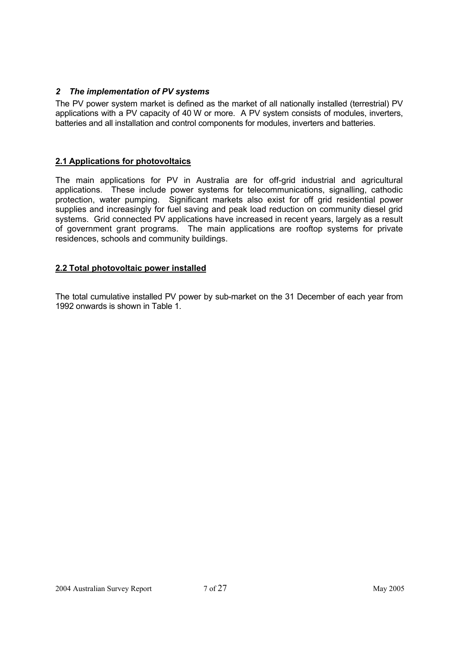# *2 The implementation of PV systems*

The PV power system market is defined as the market of all nationally installed (terrestrial) PV applications with a PV capacity of 40 W or more. A PV system consists of modules, inverters, batteries and all installation and control components for modules, inverters and batteries.

## **2.1 Applications for photovoltaics**

The main applications for PV in Australia are for off-grid industrial and agricultural applications. These include power systems for telecommunications, signalling, cathodic protection, water pumping. Significant markets also exist for off grid residential power supplies and increasingly for fuel saving and peak load reduction on community diesel grid systems. Grid connected PV applications have increased in recent years, largely as a result of government grant programs. The main applications are rooftop systems for private residences, schools and community buildings.

## **2.2 Total photovoltaic power installed**

The total cumulative installed PV power by sub-market on the 31 December of each year from 1992 onwards is shown in Table 1.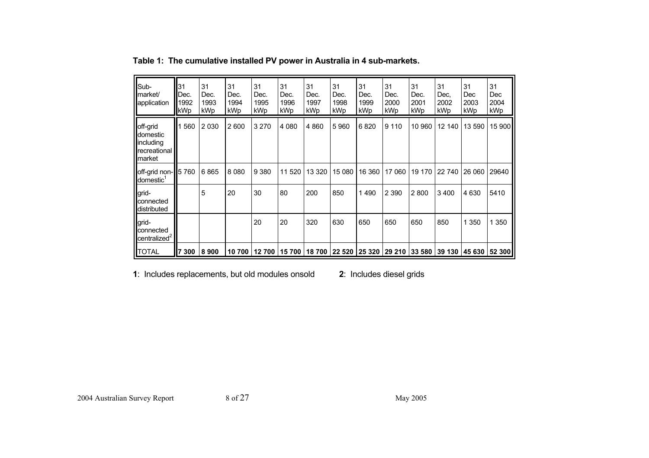| Sub-<br><b>I</b> Imarket/<br><b>application</b>                      | 31<br>Dec.<br>1992<br>kWp | 31<br>Dec.<br>1993<br>kWp | 31<br>Dec.<br>1994<br>kWp | 31<br>Dec.<br>1995<br>kWp | 31<br>Dec.<br>1996<br>kWp | 31<br>Dec.<br>1997<br>kWp | 31<br>Dec.<br>1998<br>kWp | 31<br>Dec.<br>1999<br>kWp | 31<br>Dec.<br>2000<br>kWp | 31<br>Dec.<br>2001<br>kWp | 31<br>Dec.<br>2002<br>kWp | 31<br>Dec<br>2003<br>kWp                            | 31<br>Dec<br>2004<br>kWp |
|----------------------------------------------------------------------|---------------------------|---------------------------|---------------------------|---------------------------|---------------------------|---------------------------|---------------------------|---------------------------|---------------------------|---------------------------|---------------------------|-----------------------------------------------------|--------------------------|
| off-grid<br>domestic<br>including<br><b>T</b> recreational<br>market | 560                       | 2 0 3 0                   | 2600                      | 3 2 7 0                   | 4 0 8 0                   | 4860                      | 5960                      | 6820                      | 9 1 1 0                   | 10 960                    | 12 140                    | 13 590                                              | 15 900                   |
| $\blacksquare$ off-grid non- $\blacksquare$ 5 760<br>domestic        |                           | 6865                      | 8 0 8 0                   | 9 3 8 0                   | 11 520                    | 13 3 20                   | 15 080                    | 16 360                    | 17 060                    | 19 170                    | 22 740                    | 26 060                                              | 29640                    |
| <b>Igrid-</b><br>connected<br>distributed                            |                           | 5                         | 20                        | 30                        | 80                        | 200                       | 850                       | 1490                      | 2 3 9 0                   | 2800                      | 3 4 0 0                   | 4 6 3 0                                             | 5410                     |
| <b>Igrid-</b><br>connected<br>centralized <sup>2</sup>               |                           |                           |                           | 20                        | 20                        | 320                       | 630                       | 650                       | 650                       | 650                       | 850                       | 1 3 5 0                                             | 1 3 5 0                  |
| <b>TOTAL</b>                                                         | 300                       | 8900                      | 10 700                    |                           | 12 700 15 700             | 18 700                    |                           |                           |                           |                           |                           | 22 520   25 320   29 210   33 580   39 130   45 630 | 52 300                   |

**Table 1: The cumulative installed PV power in Australia in 4 sub-markets.** 

**1**: Includes replacements, but old modules onsold **2**: Includes diesel grids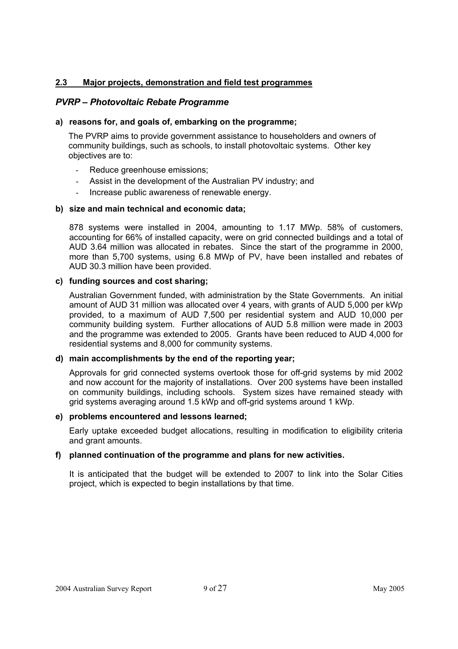#### **2.3 Major projects, demonstration and field test programmes**

## *PVRP – Photovoltaic Rebate Programme*

#### **a) reasons for, and goals of, embarking on the programme;**

The PVRP aims to provide government assistance to householders and owners of community buildings, such as schools, to install photovoltaic systems. Other key objectives are to:

- Reduce greenhouse emissions;
- Assist in the development of the Australian PV industry; and
- Increase public awareness of renewable energy.

#### **b) size and main technical and economic data;**

878 systems were installed in 2004, amounting to 1.17 MWp. 58% of customers, accounting for 66% of installed capacity, were on grid connected buildings and a total of AUD 3.64 million was allocated in rebates. Since the start of the programme in 2000, more than 5,700 systems, using 6.8 MWp of PV, have been installed and rebates of AUD 30.3 million have been provided.

#### **c) funding sources and cost sharing;**

Australian Government funded, with administration by the State Governments. An initial amount of AUD 31 million was allocated over 4 years, with grants of AUD 5,000 per kWp provided, to a maximum of AUD 7,500 per residential system and AUD 10,000 per community building system. Further allocations of AUD 5.8 million were made in 2003 and the programme was extended to 2005. Grants have been reduced to AUD 4,000 for residential systems and 8,000 for community systems.

#### **d) main accomplishments by the end of the reporting year;**

Approvals for grid connected systems overtook those for off-grid systems by mid 2002 and now account for the majority of installations. Over 200 systems have been installed on community buildings, including schools. System sizes have remained steady with grid systems averaging around 1.5 kWp and off-grid systems around 1 kWp.

#### **e) problems encountered and lessons learned;**

Early uptake exceeded budget allocations, resulting in modification to eligibility criteria and grant amounts.

#### **f) planned continuation of the programme and plans for new activities.**

It is anticipated that the budget will be extended to 2007 to link into the Solar Cities project, which is expected to begin installations by that time.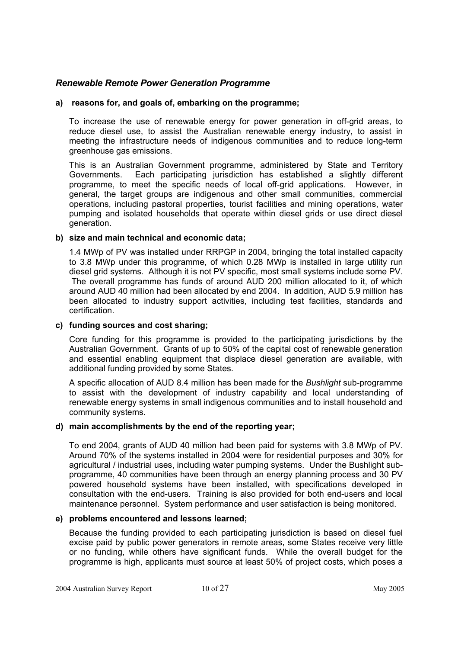# *Renewable Remote Power Generation Programme*

#### **a) reasons for, and goals of, embarking on the programme;**

To increase the use of renewable energy for power generation in off-grid areas, to reduce diesel use, to assist the Australian renewable energy industry, to assist in meeting the infrastructure needs of indigenous communities and to reduce long-term greenhouse gas emissions.

This is an Australian Government programme, administered by State and Territory Governments. Each participating jurisdiction has established a slightly different programme, to meet the specific needs of local off-grid applications. However, in general, the target groups are indigenous and other small communities, commercial operations, including pastoral properties, tourist facilities and mining operations, water pumping and isolated households that operate within diesel grids or use direct diesel generation.

#### **b) size and main technical and economic data;**

1.4 MWp of PV was installed under RRPGP in 2004, bringing the total installed capacity to 3.8 MWp under this programme, of which 0.28 MWp is installed in large utility run diesel grid systems. Although it is not PV specific, most small systems include some PV. The overall programme has funds of around AUD 200 million allocated to it, of which around AUD 40 million had been allocated by end 2004. In addition, AUD 5.9 million has been allocated to industry support activities, including test facilities, standards and certification.

## **c) funding sources and cost sharing;**

Core funding for this programme is provided to the participating jurisdictions by the Australian Government. Grants of up to 50% of the capital cost of renewable generation and essential enabling equipment that displace diesel generation are available, with additional funding provided by some States.

A specific allocation of AUD 8.4 million has been made for the *Bushlight* sub-programme to assist with the development of industry capability and local understanding of renewable energy systems in small indigenous communities and to install household and community systems.

## **d) main accomplishments by the end of the reporting year;**

To end 2004, grants of AUD 40 million had been paid for systems with 3.8 MWp of PV. Around 70% of the systems installed in 2004 were for residential purposes and 30% for agricultural / industrial uses, including water pumping systems. Under the Bushlight subprogramme, 40 communities have been through an energy planning process and 30 PV powered household systems have been installed, with specifications developed in consultation with the end-users. Training is also provided for both end-users and local maintenance personnel. System performance and user satisfaction is being monitored.

#### **e) problems encountered and lessons learned;**

Because the funding provided to each participating jurisdiction is based on diesel fuel excise paid by public power generators in remote areas, some States receive very little or no funding, while others have significant funds. While the overall budget for the programme is high, applicants must source at least 50% of project costs, which poses a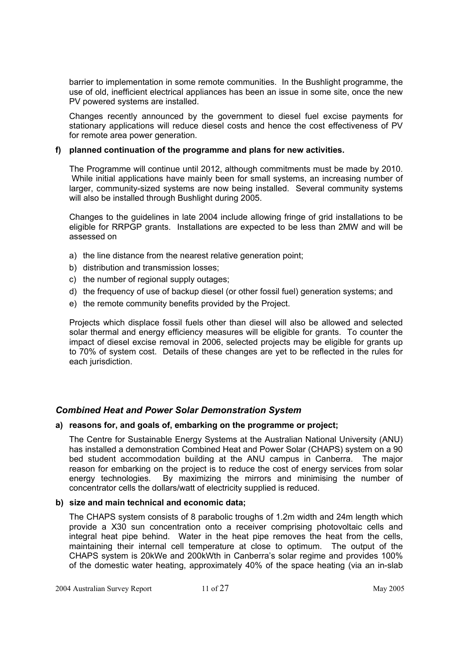barrier to implementation in some remote communities. In the Bushlight programme, the use of old, inefficient electrical appliances has been an issue in some site, once the new PV powered systems are installed.

Changes recently announced by the government to diesel fuel excise payments for stationary applications will reduce diesel costs and hence the cost effectiveness of PV for remote area power generation.

#### **f) planned continuation of the programme and plans for new activities.**

The Programme will continue until 2012, although commitments must be made by 2010. While initial applications have mainly been for small systems, an increasing number of larger, community-sized systems are now being installed. Several community systems will also be installed through Bushlight during 2005.

Changes to the guidelines in late 2004 include allowing fringe of grid installations to be eligible for RRPGP grants. Installations are expected to be less than 2MW and will be assessed on

- a) the line distance from the nearest relative generation point;
- b) distribution and transmission losses;
- c) the number of regional supply outages;
- d) the frequency of use of backup diesel (or other fossil fuel) generation systems; and
- e) the remote community benefits provided by the Project.

Projects which displace fossil fuels other than diesel will also be allowed and selected solar thermal and energy efficiency measures will be eligible for grants. To counter the impact of diesel excise removal in 2006, selected projects may be eligible for grants up to 70% of system cost. Details of these changes are yet to be reflected in the rules for each jurisdiction.

## *Combined Heat and Power Solar Demonstration System*

#### **a) reasons for, and goals of, embarking on the programme or project;**

The Centre for Sustainable Energy Systems at the Australian National University (ANU) has installed a demonstration Combined Heat and Power Solar (CHAPS) system on a 90 bed student accommodation building at the ANU campus in Canberra. The major reason for embarking on the project is to reduce the cost of energy services from solar energy technologies. By maximizing the mirrors and minimising the number of concentrator cells the dollars/watt of electricity supplied is reduced.

#### **b) size and main technical and economic data;**

The CHAPS system consists of 8 parabolic troughs of 1.2m width and 24m length which provide a X30 sun concentration onto a receiver comprising photovoltaic cells and integral heat pipe behind. Water in the heat pipe removes the heat from the cells, maintaining their internal cell temperature at close to optimum. The output of the CHAPS system is 20kWe and 200kWth in Canberra's solar regime and provides 100% of the domestic water heating, approximately 40% of the space heating (via an in-slab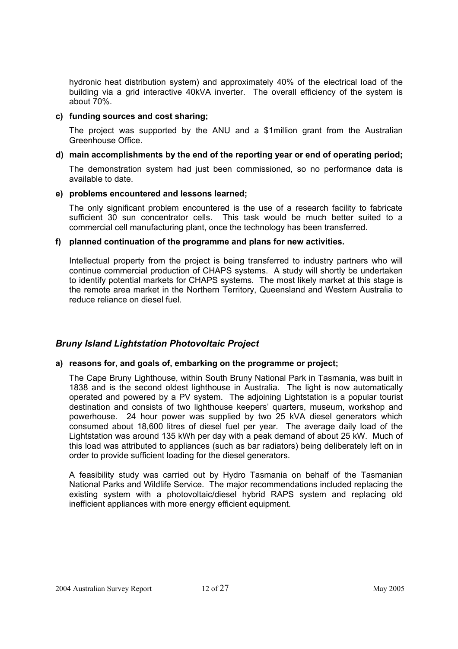hydronic heat distribution system) and approximately 40% of the electrical load of the building via a grid interactive 40kVA inverter. The overall efficiency of the system is about 70%.

#### **c) funding sources and cost sharing;**

The project was supported by the ANU and a \$1million grant from the Australian Greenhouse Office.

#### **d) main accomplishments by the end of the reporting year or end of operating period;**

The demonstration system had just been commissioned, so no performance data is available to date.

#### **e) problems encountered and lessons learned;**

The only significant problem encountered is the use of a research facility to fabricate sufficient 30 sun concentrator cells. This task would be much better suited to a commercial cell manufacturing plant, once the technology has been transferred.

#### **f) planned continuation of the programme and plans for new activities.**

Intellectual property from the project is being transferred to industry partners who will continue commercial production of CHAPS systems. A study will shortly be undertaken to identify potential markets for CHAPS systems. The most likely market at this stage is the remote area market in the Northern Territory, Queensland and Western Australia to reduce reliance on diesel fuel.

# *Bruny Island Lightstation Photovoltaic Project*

## **a) reasons for, and goals of, embarking on the programme or project;**

The Cape Bruny Lighthouse, within South Bruny National Park in Tasmania, was built in 1838 and is the second oldest lighthouse in Australia. The light is now automatically operated and powered by a PV system. The adjoining Lightstation is a popular tourist destination and consists of two lighthouse keepers' quarters, museum, workshop and powerhouse. 24 hour power was supplied by two 25 kVA diesel generators which consumed about 18,600 litres of diesel fuel per year. The average daily load of the Lightstation was around 135 kWh per day with a peak demand of about 25 kW. Much of this load was attributed to appliances (such as bar radiators) being deliberately left on in order to provide sufficient loading for the diesel generators.

A feasibility study was carried out by Hydro Tasmania on behalf of the Tasmanian National Parks and Wildlife Service. The major recommendations included replacing the existing system with a photovoltaic/diesel hybrid RAPS system and replacing old inefficient appliances with more energy efficient equipment.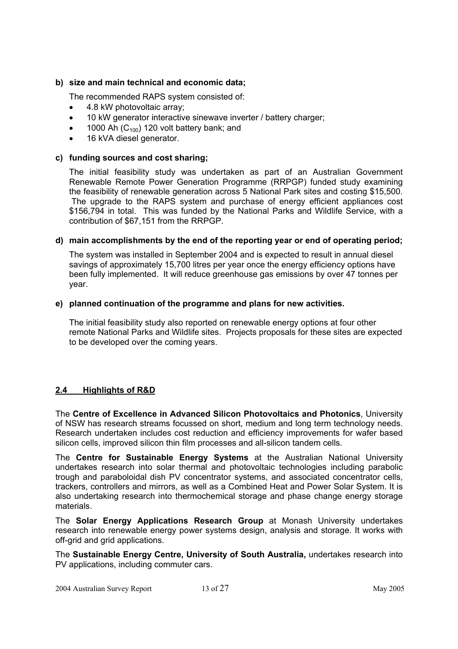#### **b) size and main technical and economic data;**

The recommended RAPS system consisted of:

- 4.8 kW photovoltaic array;
- 10 kW generator interactive sinewave inverter / battery charger;
- 1000 Ah  $(C_{100})$  120 volt battery bank; and
- 16 kVA diesel generator.

#### **c) funding sources and cost sharing;**

The initial feasibility study was undertaken as part of an Australian Government Renewable Remote Power Generation Programme (RRPGP) funded study examining the feasibility of renewable generation across 5 National Park sites and costing \$15,500. The upgrade to the RAPS system and purchase of energy efficient appliances cost \$156,794 in total. This was funded by the National Parks and Wildlife Service, with a contribution of \$67,151 from the RRPGP.

#### **d) main accomplishments by the end of the reporting year or end of operating period;**

The system was installed in September 2004 and is expected to result in annual diesel savings of approximately 15,700 litres per year once the energy efficiency options have been fully implemented. It will reduce greenhouse gas emissions by over 47 tonnes per year.

#### **e) planned continuation of the programme and plans for new activities.**

The initial feasibility study also reported on renewable energy options at four other remote National Parks and Wildlife sites. Projects proposals for these sites are expected to be developed over the coming years.

## **2.4 Highlights of R&D**

The **Centre of Excellence in Advanced Silicon Photovoltaics and Photonics**, University of NSW has research streams focussed on short, medium and long term technology needs. Research undertaken includes cost reduction and efficiency improvements for wafer based silicon cells, improved silicon thin film processes and all-silicon tandem cells.

The **Centre for Sustainable Energy Systems** at the Australian National University undertakes research into solar thermal and photovoltaic technologies including parabolic trough and paraboloidal dish PV concentrator systems, and associated concentrator cells, trackers, controllers and mirrors, as well as a Combined Heat and Power Solar System. It is also undertaking research into thermochemical storage and phase change energy storage materials.

The **Solar Energy Applications Research Group** at Monash University undertakes research into renewable energy power systems design, analysis and storage. It works with off-grid and grid applications.

The **Sustainable Energy Centre, University of South Australia,** undertakes research into PV applications, including commuter cars.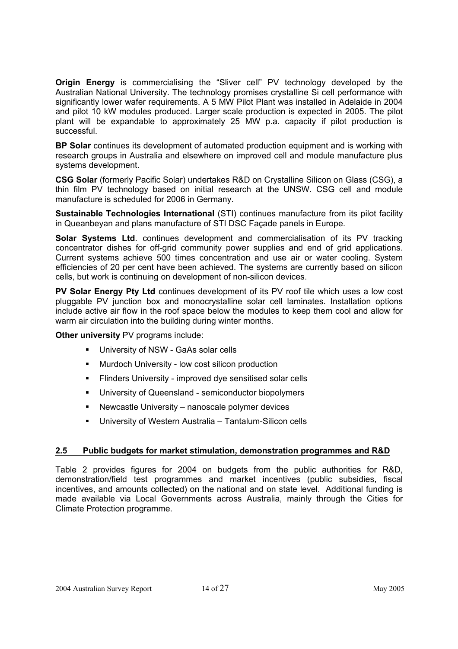**Origin Energy** is commercialising the "Sliver cell" PV technology developed by the Australian National University. The technology promises crystalline Si cell performance with significantly lower wafer requirements. A 5 MW Pilot Plant was installed in Adelaide in 2004 and pilot 10 kW modules produced. Larger scale production is expected in 2005. The pilot plant will be expandable to approximately 25 MW p.a. capacity if pilot production is successful.

**BP Solar** continues its development of automated production equipment and is working with research groups in Australia and elsewhere on improved cell and module manufacture plus systems development.

**CSG Solar** (formerly Pacific Solar) undertakes R&D on Crystalline Silicon on Glass (CSG), a thin film PV technology based on initial research at the UNSW. CSG cell and module manufacture is scheduled for 2006 in Germany.

**Sustainable Technologies International** (STI) continues manufacture from its pilot facility in Queanbeyan and plans manufacture of STI DSC Façade panels in Europe.

**Solar Systems Ltd**. continues development and commercialisation of its PV tracking concentrator dishes for off-grid community power supplies and end of grid applications. Current systems achieve 500 times concentration and use air or water cooling. System efficiencies of 20 per cent have been achieved. The systems are currently based on silicon cells, but work is continuing on development of non-silicon devices.

**PV Solar Energy Pty Ltd** continues development of its PV roof tile which uses a low cost pluggable PV junction box and monocrystalline solar cell laminates. Installation options include active air flow in the roof space below the modules to keep them cool and allow for warm air circulation into the building during winter months.

**Other university** PV programs include:

- **University of NSW GaAs solar cells**
- **Murdoch University low cost silicon production**
- Flinders University improved dye sensitised solar cells
- **University of Queensland semiconductor biopolymers**
- Newcastle University nanoscale polymer devices
- University of Western Australia Tantalum-Silicon cells

## **2.5 Public budgets for market stimulation, demonstration programmes and R&D**

Table 2 provides figures for 2004 on budgets from the public authorities for R&D, demonstration/field test programmes and market incentives (public subsidies, fiscal incentives, and amounts collected) on the national and on state level. Additional funding is made available via Local Governments across Australia, mainly through the Cities for Climate Protection programme.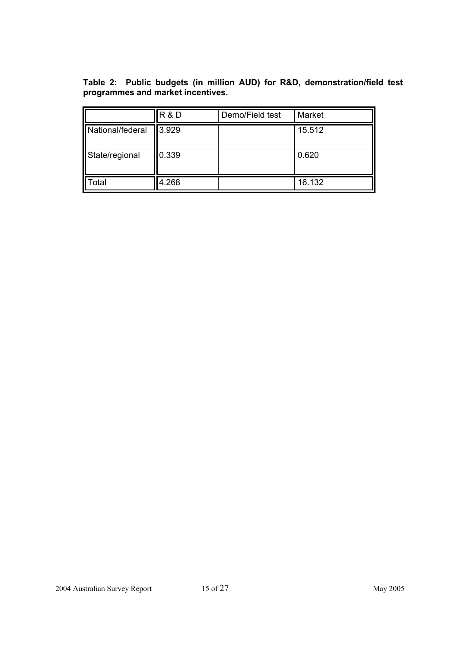**Table 2: Public budgets (in million AUD) for R&D, demonstration/field test programmes and market incentives.** 

|                  | R&D           | Demo/Field test | Market |
|------------------|---------------|-----------------|--------|
| National/federal | <b>13.929</b> |                 | 15.512 |
| State/regional   | 0.339         |                 | 0.620  |
| otal             | 4.268         |                 | 16.132 |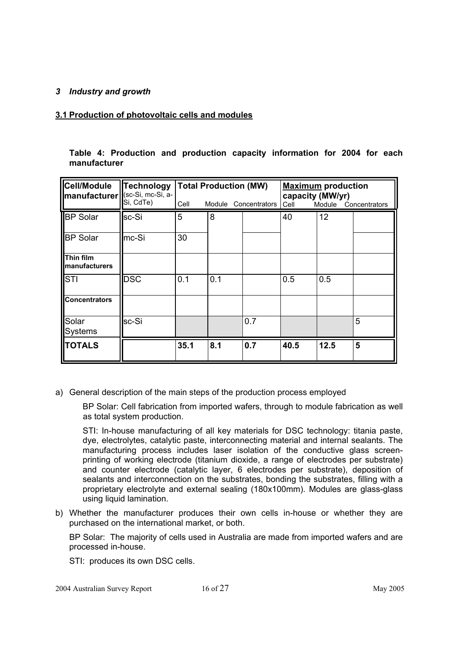#### *3 Industry and growth*

#### **3.1 Production of photovoltaic cells and modules**

| Cell/Module<br>manufacturer   (sc-Si, mc-Si, a- | <b>Technology</b> |      | <b>Total Production (MW)</b> |                      | <b>Maximum</b> production<br>capacity (MW/yr) |                      |   |  |
|-------------------------------------------------|-------------------|------|------------------------------|----------------------|-----------------------------------------------|----------------------|---|--|
|                                                 | Si, CdTe)         | Cell |                              | Module Concentrators | Cell                                          | Module Concentrators |   |  |
| <b>BP</b> Solar                                 | sc-Si             | 5    | 8                            |                      | 40                                            | 12                   |   |  |
| <b>BP Solar</b>                                 | mc-Si             | 30   |                              |                      |                                               |                      |   |  |
| <b>Thin film</b><br>manufacturers               |                   |      |                              |                      |                                               |                      |   |  |
| <b>STI</b>                                      | <b>DSC</b>        | 0.1  | 0.1                          |                      | 0.5                                           | 0.5                  |   |  |
| <b>Concentrators</b>                            |                   |      |                              |                      |                                               |                      |   |  |
| Solar<br><b>Systems</b>                         | lsc-Si            |      |                              | 0.7                  |                                               |                      | 5 |  |
| <b>TOTALS</b>                                   |                   | 35.1 | 8.1                          | 0.7                  | 40.5                                          | 12.5                 | 5 |  |

|              |  |  | Table 4: Production and production capacity information for 2004 for each |  |  |
|--------------|--|--|---------------------------------------------------------------------------|--|--|
| manufacturer |  |  |                                                                           |  |  |

a) General description of the main steps of the production process employed

BP Solar: Cell fabrication from imported wafers, through to module fabrication as well as total system production.

STI: In-house manufacturing of all key materials for DSC technology: titania paste, dye, electrolytes, catalytic paste, interconnecting material and internal sealants. The manufacturing process includes laser isolation of the conductive glass screenprinting of working electrode (titanium dioxide, a range of electrodes per substrate) and counter electrode (catalytic layer, 6 electrodes per substrate), deposition of sealants and interconnection on the substrates, bonding the substrates, filling with a proprietary electrolyte and external sealing (180x100mm). Modules are glass-glass using liquid lamination.

b) Whether the manufacturer produces their own cells in-house or whether they are purchased on the international market, or both.

BP Solar: The majority of cells used in Australia are made from imported wafers and are processed in-house.

STI: produces its own DSC cells.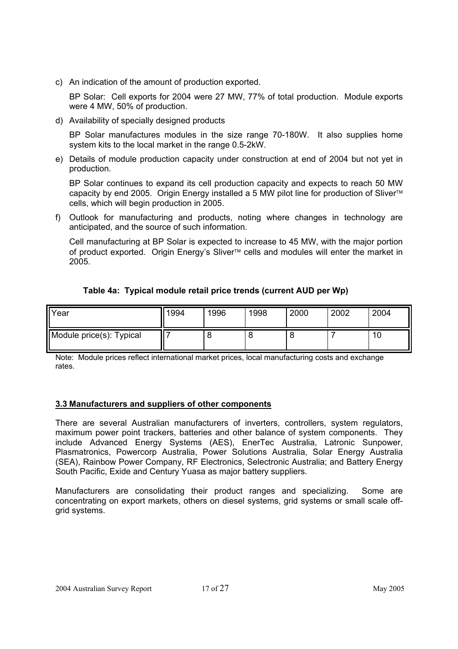c) An indication of the amount of production exported.

BP Solar: Cell exports for 2004 were 27 MW, 77% of total production. Module exports were 4 MW, 50% of production.

d) Availability of specially designed products

BP Solar manufactures modules in the size range 70-180W. It also supplies home system kits to the local market in the range 0.5-2kW.

e) Details of module production capacity under construction at end of 2004 but not yet in production.

BP Solar continues to expand its cell production capacity and expects to reach 50 MW capacity by end 2005. Origin Energy installed a 5 MW pilot line for production of Sliver<sup>™</sup> cells, which will begin production in 2005.

f) Outlook for manufacturing and products, noting where changes in technology are anticipated, and the source of such information.

Cell manufacturing at BP Solar is expected to increase to 45 MW, with the major portion of product exported. Origin Energy's Sliver<sup>™</sup> cells and modules will enter the market in 2005.

| Table 4a: Typical module retail price trends (current AUD per Wp) |  |  |
|-------------------------------------------------------------------|--|--|
|-------------------------------------------------------------------|--|--|

| Year                     | 1994 | 1996 | 1998 | 2000 | 2002 | 2004 |
|--------------------------|------|------|------|------|------|------|
| Module price(s): Typical |      |      | O    | o    |      | ιv   |

Note: Module prices reflect international market prices, local manufacturing costs and exchange rates.

# **3.3 Manufacturers and suppliers of other components**

There are several Australian manufacturers of inverters, controllers, system regulators, maximum power point trackers, batteries and other balance of system components. They include Advanced Energy Systems (AES), EnerTec Australia, Latronic Sunpower, Plasmatronics, Powercorp Australia, Power Solutions Australia, Solar Energy Australia (SEA), Rainbow Power Company, RF Electronics, Selectronic Australia; and Battery Energy South Pacific, Exide and Century Yuasa as major battery suppliers.

Manufacturers are consolidating their product ranges and specializing. Some are concentrating on export markets, others on diesel systems, grid systems or small scale offgrid systems.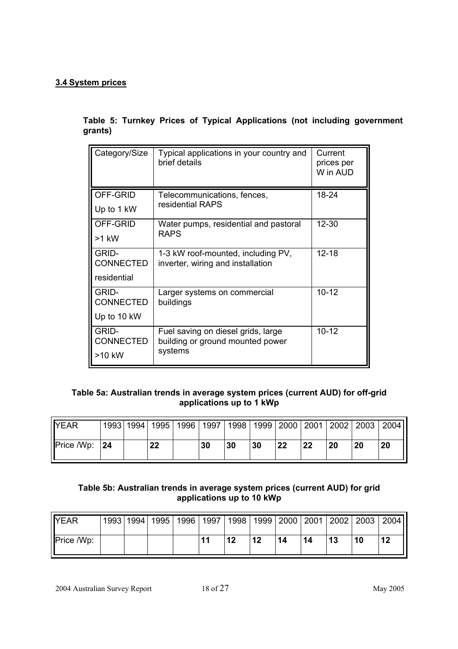# **3.4 System prices**

**Table 5: Turnkey Prices of Typical Applications (not including government grants)** 

| Category/Size             | Typical applications in your country and<br>brief details              | Current<br>prices per<br>W in AUD |  |
|---------------------------|------------------------------------------------------------------------|-----------------------------------|--|
| OFF-GRID                  | Telecommunications, fences,                                            | 18-24                             |  |
| Up to 1 kW                | residential RAPS                                                       |                                   |  |
| OFF-GRID                  | Water pumps, residential and pastoral                                  | $12 - 30$                         |  |
| >1 kW                     | <b>RAPS</b>                                                            |                                   |  |
| <b>GRID-</b>              | 1-3 kW roof-mounted, including PV,                                     | $12 - 18$                         |  |
| <b>CONNECTED</b>          | inverter, wiring and installation                                      |                                   |  |
| residential               |                                                                        |                                   |  |
| GRID-<br><b>CONNECTED</b> | Larger systems on commercial<br>buildings                              | $10 - 12$                         |  |
| Up to 10 kW               |                                                                        |                                   |  |
|                           |                                                                        |                                   |  |
| GRID-<br><b>CONNECTED</b> | Fuel saving on diesel grids, large<br>building or ground mounted power | $10 - 12$                         |  |
| >10 kW                    | systems                                                                |                                   |  |

# **Table 5a: Australian trends in average system prices (current AUD) for off-grid applications up to 1 kWp**

| <b>IYEAR</b>      |    | 1993   1994 | 1995 | 1996 | 1997 | 1998 |    |    |    | 1999   2000   2001   2002 | 2003 | 2004 |
|-------------------|----|-------------|------|------|------|------|----|----|----|---------------------------|------|------|
| <b>Price /Wp:</b> | 24 |             | 22   |      | 30   | 30   | 30 | 22 | 22 | 20                        | 20   | 20   |

# **Table 5b: Australian trends in average system prices (current AUD) for grid applications up to 10 kWp**

| <b>IYEAR</b>      | 1993   1994 | 1995   1996 |                 | 1997   1998   1999 |    |    |    | 2000   2001   2002 | 2003 | 2004 |
|-------------------|-------------|-------------|-----------------|--------------------|----|----|----|--------------------|------|------|
| <b>Price /Wp:</b> |             |             | $\overline{11}$ | 12                 | 12 | 14 | 14 | 13                 | 10   | 12   |

2004 Australian Survey Report 18 of 27 May 2005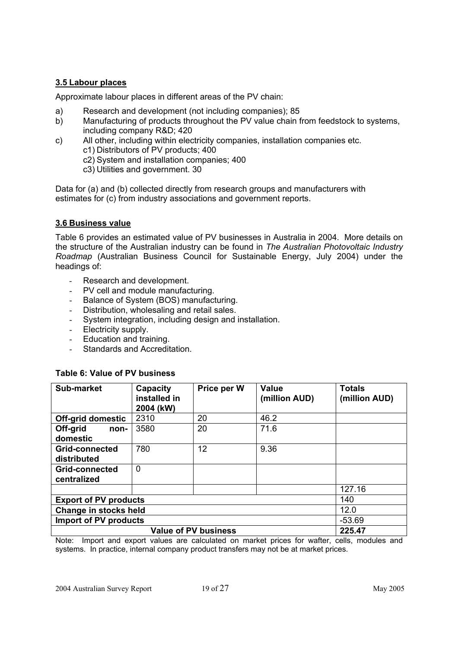# **3.5 Labour places**

Approximate labour places in different areas of the PV chain:

- a) Research and development (not including companies); 85
- b) Manufacturing of products throughout the PV value chain from feedstock to systems, including company R&D; 420
- c) All other, including within electricity companies, installation companies etc. c1) Distributors of PV products; 400
	- c2) System and installation companies; 400
	- c3) Utilities and government. 30

Data for (a) and (b) collected directly from research groups and manufacturers with estimates for (c) from industry associations and government reports.

## **3.6 Business value**

Table 6 provides an estimated value of PV businesses in Australia in 2004. More details on the structure of the Australian industry can be found in *The Australian Photovoltaic Industry Roadmap* (Australian Business Council for Sustainable Energy, July 2004) under the headings of:

- Research and development.
- PV cell and module manufacturing.
- Balance of System (BOS) manufacturing.
- Distribution, wholesaling and retail sales.
- System integration, including design and installation.
- Electricity supply.
- Education and training.
- Standards and Accreditation.

| Sub-market                   | Capacity<br>installed in<br>2004 (kW)    | Price per W                 | <b>Value</b><br>(million AUD) | <b>Totals</b><br>(million AUD) |  |  |  |  |  |  |
|------------------------------|------------------------------------------|-----------------------------|-------------------------------|--------------------------------|--|--|--|--|--|--|
| Off-grid domestic            | 2310                                     | 20                          | 46.2                          |                                |  |  |  |  |  |  |
| Off-grid<br>non-             | 3580                                     | 20                          | 71.6                          |                                |  |  |  |  |  |  |
| domestic                     |                                          |                             |                               |                                |  |  |  |  |  |  |
| <b>Grid-connected</b>        | 780                                      | 12                          | 9.36                          |                                |  |  |  |  |  |  |
| distributed                  |                                          |                             |                               |                                |  |  |  |  |  |  |
| Grid-connected               | $\Omega$                                 |                             |                               |                                |  |  |  |  |  |  |
| centralized                  |                                          |                             |                               |                                |  |  |  |  |  |  |
|                              |                                          |                             |                               | 127.16                         |  |  |  |  |  |  |
| <b>Export of PV products</b> |                                          |                             |                               | 140                            |  |  |  |  |  |  |
|                              | 12.0<br>Change in stocks held            |                             |                               |                                |  |  |  |  |  |  |
|                              | <b>Import of PV products</b><br>$-53.69$ |                             |                               |                                |  |  |  |  |  |  |
|                              |                                          | <b>Value of PV business</b> |                               | 225.47                         |  |  |  |  |  |  |

## **Table 6: Value of PV business**

Note: Import and export values are calculated on market prices for wafter, cells, modules and systems. In practice, internal company product transfers may not be at market prices.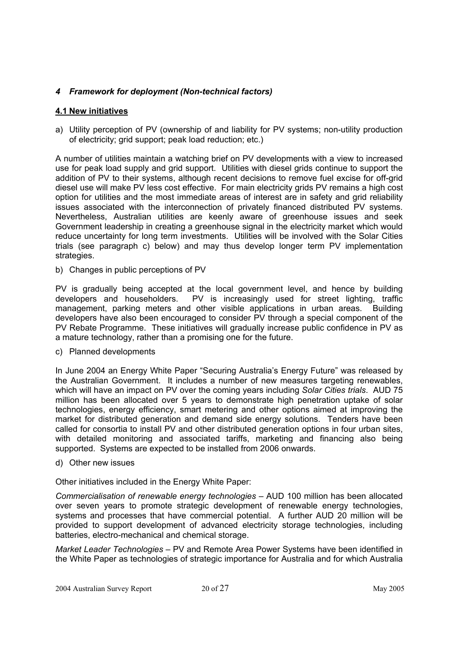## *4 Framework for deployment (Non-technical factors)*

## **4.1 New initiatives**

a) Utility perception of PV (ownership of and liability for PV systems; non-utility production of electricity; grid support; peak load reduction; etc.)

A number of utilities maintain a watching brief on PV developments with a view to increased use for peak load supply and grid support. Utilities with diesel grids continue to support the addition of PV to their systems, although recent decisions to remove fuel excise for off-grid diesel use will make PV less cost effective. For main electricity grids PV remains a high cost option for utilities and the most immediate areas of interest are in safety and grid reliability issues associated with the interconnection of privately financed distributed PV systems. Nevertheless, Australian utilities are keenly aware of greenhouse issues and seek Government leadership in creating a greenhouse signal in the electricity market which would reduce uncertainty for long term investments. Utilities will be involved with the Solar Cities trials (see paragraph c) below) and may thus develop longer term PV implementation strategies.

b) Changes in public perceptions of PV

PV is gradually being accepted at the local government level, and hence by building developers and householders. PV is increasingly used for street lighting, traffic management, parking meters and other visible applications in urban areas. Building developers have also been encouraged to consider PV through a special component of the PV Rebate Programme. These initiatives will gradually increase public confidence in PV as a mature technology, rather than a promising one for the future.

c) Planned developments

In June 2004 an Energy White Paper "Securing Australia's Energy Future" was released by the Australian Government. It includes a number of new measures targeting renewables, which will have an impact on PV over the coming years including *Solar Cities trials*. AUD 75 million has been allocated over 5 years to demonstrate high penetration uptake of solar technologies, energy efficiency, smart metering and other options aimed at improving the market for distributed generation and demand side energy solutions. Tenders have been called for consortia to install PV and other distributed generation options in four urban sites, with detailed monitoring and associated tariffs, marketing and financing also being supported. Systems are expected to be installed from 2006 onwards.

d) Other new issues

Other initiatives included in the Energy White Paper:

*Commercialisation of renewable energy technologies* – AUD 100 million has been allocated over seven years to promote strategic development of renewable energy technologies, systems and processes that have commercial potential. A further AUD 20 million will be provided to support development of advanced electricity storage technologies, including batteries, electro-mechanical and chemical storage.

*Market Leader Technologies –* PV and Remote Area Power Systems have been identified in the White Paper as technologies of strategic importance for Australia and for which Australia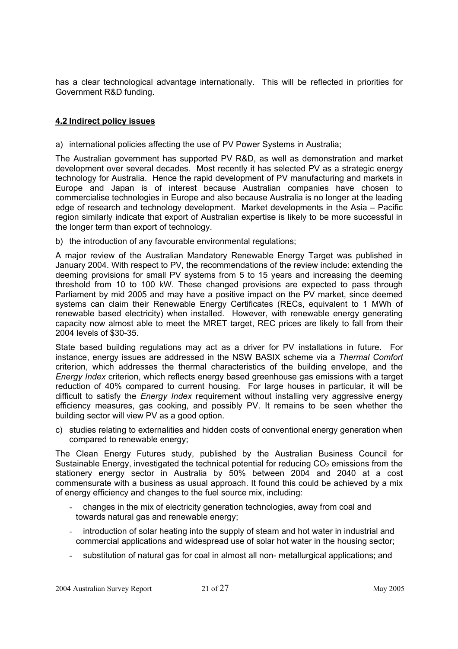has a clear technological advantage internationally. This will be reflected in priorities for Government R&D funding.

## **4.2 Indirect policy issues**

a) international policies affecting the use of PV Power Systems in Australia;

The Australian government has supported PV R&D, as well as demonstration and market development over several decades. Most recently it has selected PV as a strategic energy technology for Australia. Hence the rapid development of PV manufacturing and markets in Europe and Japan is of interest because Australian companies have chosen to commercialise technologies in Europe and also because Australia is no longer at the leading edge of research and technology development. Market developments in the Asia – Pacific region similarly indicate that export of Australian expertise is likely to be more successful in the longer term than export of technology.

b) the introduction of any favourable environmental regulations:

A major review of the Australian Mandatory Renewable Energy Target was published in January 2004. With respect to PV, the recommendations of the review include: extending the deeming provisions for small PV systems from 5 to 15 years and increasing the deeming threshold from 10 to 100 kW. These changed provisions are expected to pass through Parliament by mid 2005 and may have a positive impact on the PV market, since deemed systems can claim their Renewable Energy Certificates (RECs, equivalent to 1 MWh of renewable based electricity) when installed. However, with renewable energy generating capacity now almost able to meet the MRET target, REC prices are likely to fall from their 2004 levels of \$30-35.

State based building regulations may act as a driver for PV installations in future. For instance, energy issues are addressed in the NSW BASIX scheme via a *Thermal Comfort*  criterion, which addresses the thermal characteristics of the building envelope, and the *Energy Index* criterion, which reflects energy based greenhouse gas emissions with a target reduction of 40% compared to current housing. For large houses in particular, it will be difficult to satisfy the *Energy Index* requirement without installing very aggressive energy efficiency measures, gas cooking, and possibly PV. It remains to be seen whether the building sector will view PV as a good option.

c) studies relating to externalities and hidden costs of conventional energy generation when compared to renewable energy;

The Clean Energy Futures study, published by the Australian Business Council for Sustainable Energy, investigated the technical potential for reducing  $CO<sub>2</sub>$  emissions from the stationery energy sector in Australia by 50% between 2004 and 2040 at a cost commensurate with a business as usual approach. It found this could be achieved by a mix of energy efficiency and changes to the fuel source mix, including:

- changes in the mix of electricity generation technologies, away from coal and towards natural gas and renewable energy;
- introduction of solar heating into the supply of steam and hot water in industrial and commercial applications and widespread use of solar hot water in the housing sector;
- substitution of natural gas for coal in almost all non- metallurgical applications; and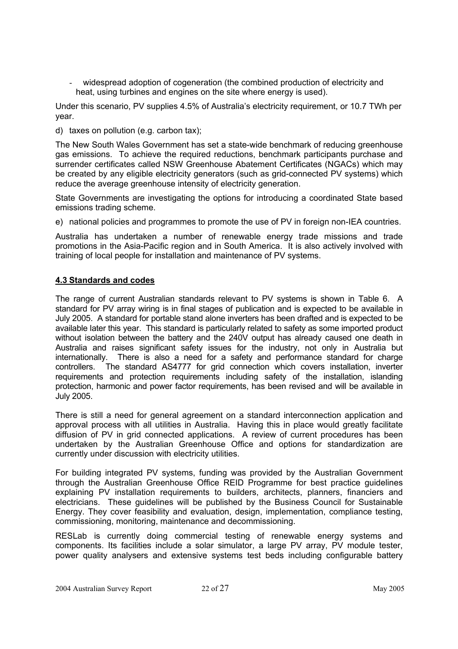widespread adoption of cogeneration (the combined production of electricity and heat, using turbines and engines on the site where energy is used).

Under this scenario, PV supplies 4.5% of Australia's electricity requirement, or 10.7 TWh per year.

d) taxes on pollution (e.g. carbon tax);

The New South Wales Government has set a state-wide benchmark of reducing greenhouse gas emissions. To achieve the required reductions, benchmark participants purchase and surrender certificates called NSW Greenhouse Abatement Certificates (NGACs) which may be created by any eligible electricity generators (such as grid-connected PV systems) which reduce the average greenhouse intensity of electricity generation.

State Governments are investigating the options for introducing a coordinated State based emissions trading scheme.

e) national policies and programmes to promote the use of PV in foreign non-IEA countries.

Australia has undertaken a number of renewable energy trade missions and trade promotions in the Asia-Pacific region and in South America. It is also actively involved with training of local people for installation and maintenance of PV systems.

## **4.3 Standards and codes**

The range of current Australian standards relevant to PV systems is shown in Table 6. A standard for PV array wiring is in final stages of publication and is expected to be available in July 2005. A standard for portable stand alone inverters has been drafted and is expected to be available later this year. This standard is particularly related to safety as some imported product without isolation between the battery and the 240V output has already caused one death in Australia and raises significant safety issues for the industry, not only in Australia but internationally. There is also a need for a safety and performance standard for charge controllers. The standard AS4777 for grid connection which covers installation, inverter requirements and protection requirements including safety of the installation, islanding protection, harmonic and power factor requirements, has been revised and will be available in July 2005.

There is still a need for general agreement on a standard interconnection application and approval process with all utilities in Australia. Having this in place would greatly facilitate diffusion of PV in grid connected applications. A review of current procedures has been undertaken by the Australian Greenhouse Office and options for standardization are currently under discussion with electricity utilities.

For building integrated PV systems, funding was provided by the Australian Government through the Australian Greenhouse Office REID Programme for best practice guidelines explaining PV installation requirements to builders, architects, planners, financiers and electricians. These guidelines will be published by the Business Council for Sustainable Energy. They cover feasibility and evaluation, design, implementation, compliance testing, commissioning, monitoring, maintenance and decommissioning.

RESLab is currently doing commercial testing of renewable energy systems and components. Its facilities include a solar simulator, a large PV array, PV module tester, power quality analysers and extensive systems test beds including configurable battery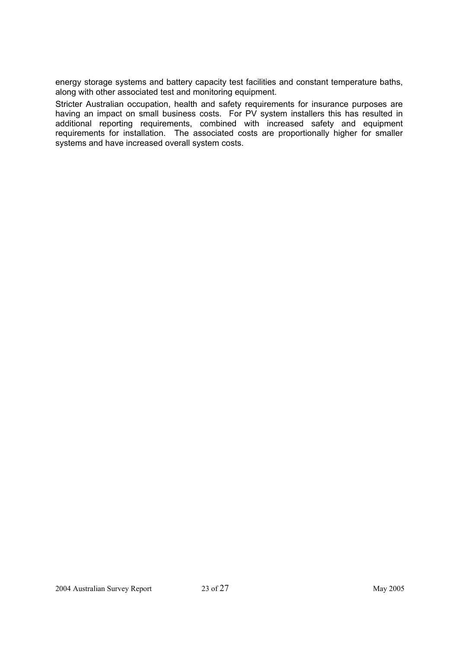energy storage systems and battery capacity test facilities and constant temperature baths, along with other associated test and monitoring equipment.

Stricter Australian occupation, health and safety requirements for insurance purposes are having an impact on small business costs. For PV system installers this has resulted in additional reporting requirements, combined with increased safety and equipment requirements for installation. The associated costs are proportionally higher for smaller systems and have increased overall system costs.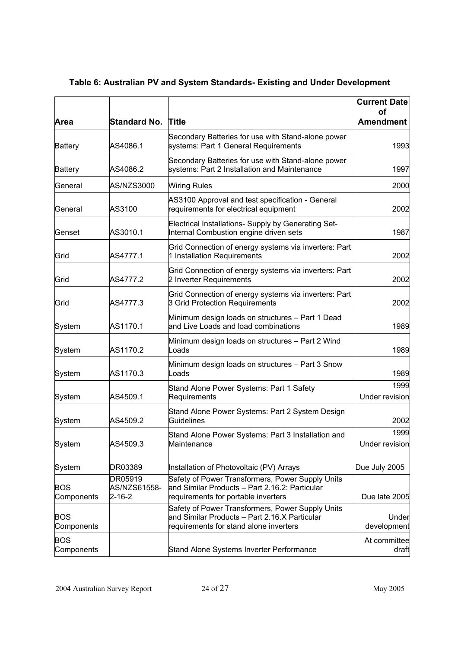|                          |                                   |                                                                                                                                             | <b>Current Date</b>    |
|--------------------------|-----------------------------------|---------------------------------------------------------------------------------------------------------------------------------------------|------------------------|
| Area                     | <b>Standard No. Title</b>         |                                                                                                                                             | οf<br><b>Amendment</b> |
| <b>Battery</b>           | AS4086.1                          | Secondary Batteries for use with Stand-alone power<br>systems: Part 1 General Requirements                                                  | 1993                   |
| <b>Battery</b>           | AS4086.2                          | Secondary Batteries for use with Stand-alone power<br>systems: Part 2 Installation and Maintenance                                          | 1997                   |
| General                  | <b>AS/NZS3000</b>                 | <b>Wiring Rules</b>                                                                                                                         | 2000                   |
| General                  | AS3100                            | AS3100 Approval and test specification - General<br>requirements for electrical equipment                                                   | 2002                   |
| Genset                   | AS3010.1                          | Electrical Installations- Supply by Generating Set-<br>Internal Combustion engine driven sets                                               | 1987                   |
| Grid                     | AS4777.1                          | Grid Connection of energy systems via inverters: Part<br>1 Installation Requirements                                                        | 2002                   |
| Grid                     | AS4777.2                          | Grid Connection of energy systems via inverters: Part<br>2 Inverter Requirements                                                            | 2002                   |
| Grid                     | AS4777.3                          | Grid Connection of energy systems via inverters: Part<br>3 Grid Protection Requirements                                                     | 2002                   |
| System                   | AS1170.1                          | Minimum design loads on structures - Part 1 Dead<br>and Live Loads and load combinations                                                    | 1989                   |
| System                   | AS1170.2                          | Minimum design loads on structures - Part 2 Wind<br>Loads                                                                                   | 1989                   |
| System                   | AS1170.3                          | Minimum design loads on structures - Part 3 Snow<br>Loads                                                                                   | 1989                   |
| System                   | AS4509.1                          | Stand Alone Power Systems: Part 1 Safety<br>Requirements                                                                                    | 1999<br>Under revision |
| System                   | AS4509.2                          | Stand Alone Power Systems: Part 2 System Design<br>Guidelines                                                                               | 2002                   |
| System                   | AS4509.3                          | Stand Alone Power Systems: Part 3 Installation and<br>Maintenance                                                                           | 1999<br>Under revision |
| System                   | DR03389                           | Installation of Photovoltaic (PV) Arrays                                                                                                    | Due July 2005          |
| BOS<br>Components        | DR05919<br>AS/NZS61558-<br>2-16-2 | Safety of Power Transformers, Power Supply Units<br>and Similar Products - Part 2.16.2: Particular<br>requirements for portable inverters   | Due late 2005          |
| <b>BOS</b><br>Components |                                   | Safety of Power Transformers, Power Supply Units<br>and Similar Products - Part 2.16.X Particular<br>requirements for stand alone inverters | Under<br>development   |
| <b>BOS</b><br>Components |                                   | Stand Alone Systems Inverter Performance                                                                                                    | At committee<br>draft  |

# **Table 6: Australian PV and System Standards- Existing and Under Development**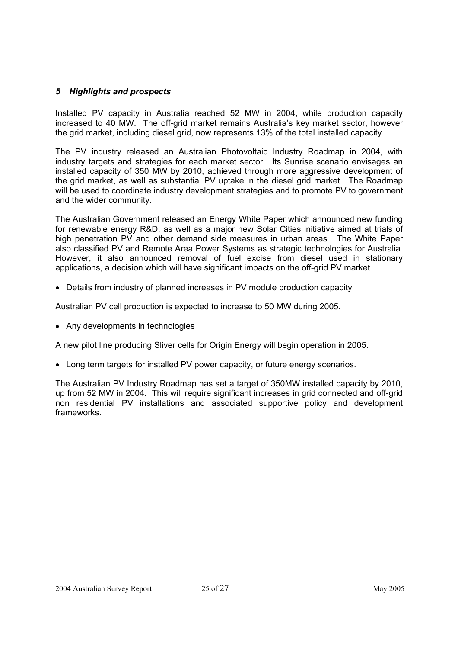## *5 Highlights and prospects*

Installed PV capacity in Australia reached 52 MW in 2004, while production capacity increased to 40 MW. The off-grid market remains Australia's key market sector, however the grid market, including diesel grid, now represents 13% of the total installed capacity.

The PV industry released an Australian Photovoltaic Industry Roadmap in 2004, with industry targets and strategies for each market sector. Its Sunrise scenario envisages an installed capacity of 350 MW by 2010, achieved through more aggressive development of the grid market, as well as substantial PV uptake in the diesel grid market. The Roadmap will be used to coordinate industry development strategies and to promote PV to government and the wider community.

The Australian Government released an Energy White Paper which announced new funding for renewable energy R&D, as well as a major new Solar Cities initiative aimed at trials of high penetration PV and other demand side measures in urban areas. The White Paper also classified PV and Remote Area Power Systems as strategic technologies for Australia. However, it also announced removal of fuel excise from diesel used in stationary applications, a decision which will have significant impacts on the off-grid PV market.

• Details from industry of planned increases in PV module production capacity

Australian PV cell production is expected to increase to 50 MW during 2005.

• Any developments in technologies

A new pilot line producing Sliver cells for Origin Energy will begin operation in 2005.

• Long term targets for installed PV power capacity, or future energy scenarios.

The Australian PV Industry Roadmap has set a target of 350MW installed capacity by 2010, up from 52 MW in 2004. This will require significant increases in grid connected and off-grid non residential PV installations and associated supportive policy and development frameworks.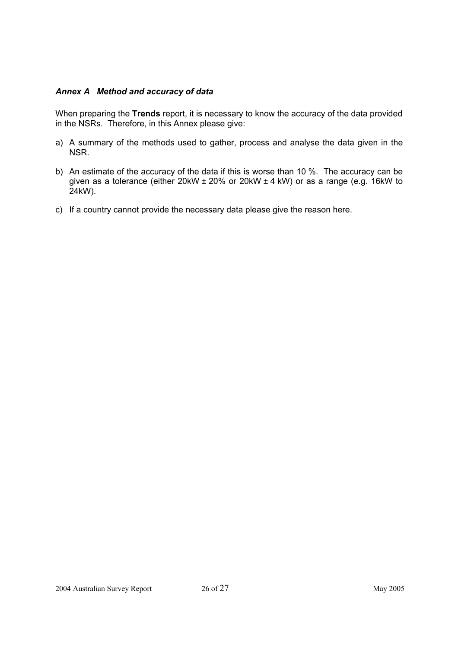## *Annex A Method and accuracy of data*

When preparing the **Trends** report, it is necessary to know the accuracy of the data provided in the NSRs. Therefore, in this Annex please give:

- a) A summary of the methods used to gather, process and analyse the data given in the NSR.
- b) An estimate of the accuracy of the data if this is worse than 10 %. The accuracy can be given as a tolerance (either 20kW ± 20% or 20kW ± 4 kW) or as a range (e.g. 16kW to 24kW).
- c) If a country cannot provide the necessary data please give the reason here.